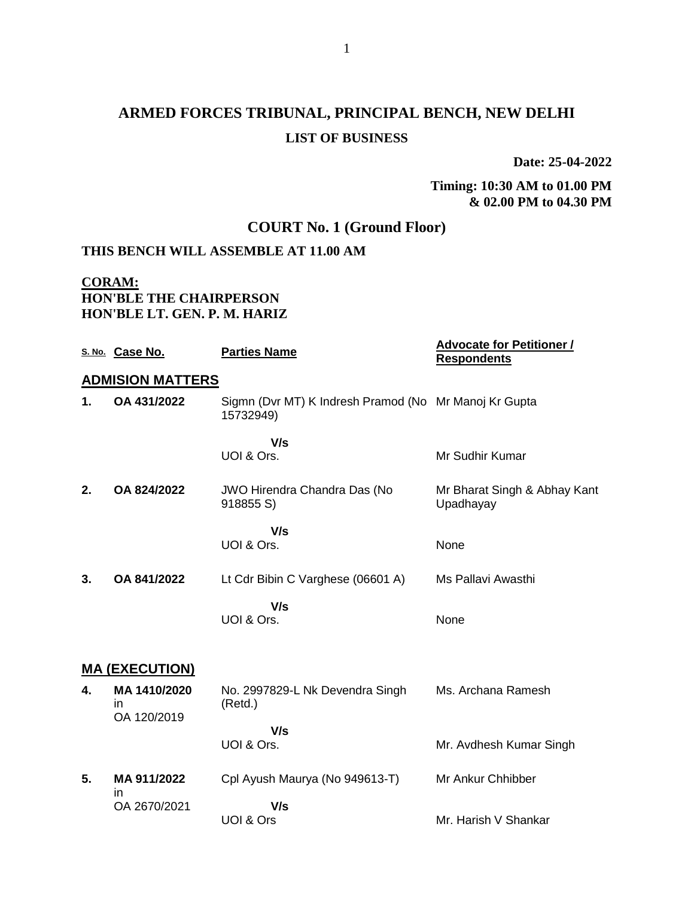# **ARMED FORCES TRIBUNAL, PRINCIPAL BENCH, NEW DELHI LIST OF BUSINESS**

**Date: 25-04-2022**

#### **Timing: 10:30 AM to 01.00 PM & 02.00 PM to 04.30 PM**

## **COURT No. 1 (Ground Floor)**

## **THIS BENCH WILL ASSEMBLE AT 11.00 AM**

### **CORAM: HON'BLE THE CHAIRPERSON HON'BLE LT. GEN. P. M. HARIZ**

|    | S. No. Case No.                   | <b>Parties Name</b>                                                | <b>Advocate for Petitioner /</b><br><b>Respondents</b> |
|----|-----------------------------------|--------------------------------------------------------------------|--------------------------------------------------------|
|    | <b>ADMISION MATTERS</b>           |                                                                    |                                                        |
| 1. | OA 431/2022                       | Sigmn (Dvr MT) K Indresh Pramod (No Mr Manoj Kr Gupta<br>15732949) |                                                        |
|    |                                   | V/s                                                                |                                                        |
|    |                                   | UOI & Ors.                                                         | Mr Sudhir Kumar                                        |
| 2. | OA 824/2022                       | JWO Hirendra Chandra Das (No<br>918855 S)                          | Mr Bharat Singh & Abhay Kant<br>Upadhayay              |
|    |                                   | V/s                                                                |                                                        |
|    |                                   | UOI & Ors.                                                         | None                                                   |
| 3. | OA 841/2022                       | Lt Cdr Bibin C Varghese (06601 A)                                  | Ms Pallavi Awasthi                                     |
|    |                                   | V/s<br>UOI & Ors.                                                  | None                                                   |
|    | <b>MA (EXECUTION)</b>             |                                                                    |                                                        |
| 4. | MA 1410/2020<br>in<br>OA 120/2019 | No. 2997829-L Nk Devendra Singh<br>(Retd.)                         | Ms. Archana Ramesh                                     |
|    |                                   | V/s                                                                |                                                        |
|    |                                   | UOI & Ors.                                                         | Mr. Avdhesh Kumar Singh                                |
| 5. | MA 911/2022<br>in                 | Cpl Ayush Maurya (No 949613-T)                                     | Mr Ankur Chhibber                                      |
|    | OA 2670/2021                      | V/s                                                                |                                                        |
|    |                                   | UOI & Ors                                                          | Mr. Harish V Shankar                                   |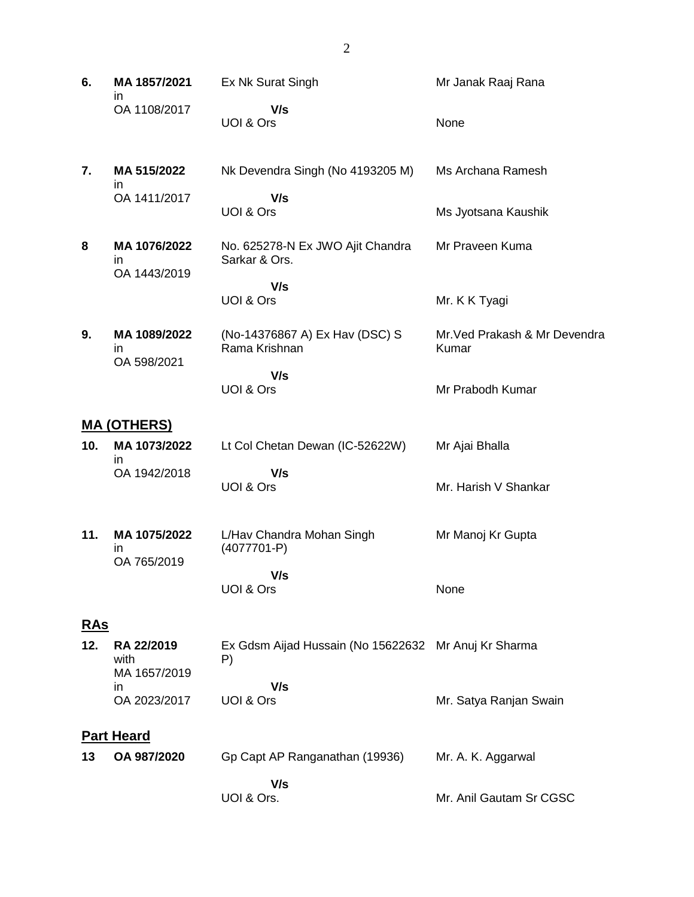- **6. MA 1857/2021** in OA 1108/2017 Ex Nk Surat Singh  **V/s** UOI & Ors Mr Janak Raaj Rana None **7. MA 515/2022** in OA 1411/2017 Nk Devendra Singh (No 4193205 M)  **V/s** UOI & Ors Ms Archana Ramesh Ms Jyotsana Kaushik **8 MA 1076/2022** in OA 1443/2019 No. 625278-N Ex JWO Ajit Chandra Sarkar & Ors.  **V/s** UOI & Ors Mr Praveen Kuma Mr. K K Tyagi **9. MA 1089/2022** in OA 598/2021 (No-14376867 A) Ex Hav (DSC) S Rama Krishnan  **V/s** UOI & Ors Mr.Ved Prakash & Mr Devendra Kumar Mr Prabodh Kumar **MA (OTHERS) 10. MA 1073/2022** in OA 1942/2018 Lt Col Chetan Dewan (IC-52622W)  **V/s** UOI & Ors Mr Ajai Bhalla Mr. Harish V Shankar **11. MA 1075/2022** in OA 765/2019 L/Hav Chandra Mohan Singh (4077701-P)  **V/s** UOI & Ors Mr Manoj Kr Gupta None **RAs 12. RA 22/2019** with MA 1657/2019 in OA 2023/2017 Ex Gdsm Aijad Hussain (No 15622632 Mr Anuj Kr Sharma P)  **V/s** UOI & Ors Mr. Satya Ranjan Swain **Part Heard 13 OA 987/2020** Gp Capt AP Ranganathan (19936)  **V/s** Mr. A. K. Aggarwal
	- UOI & Ors. Mr. Anil Gautam Sr CGSC

2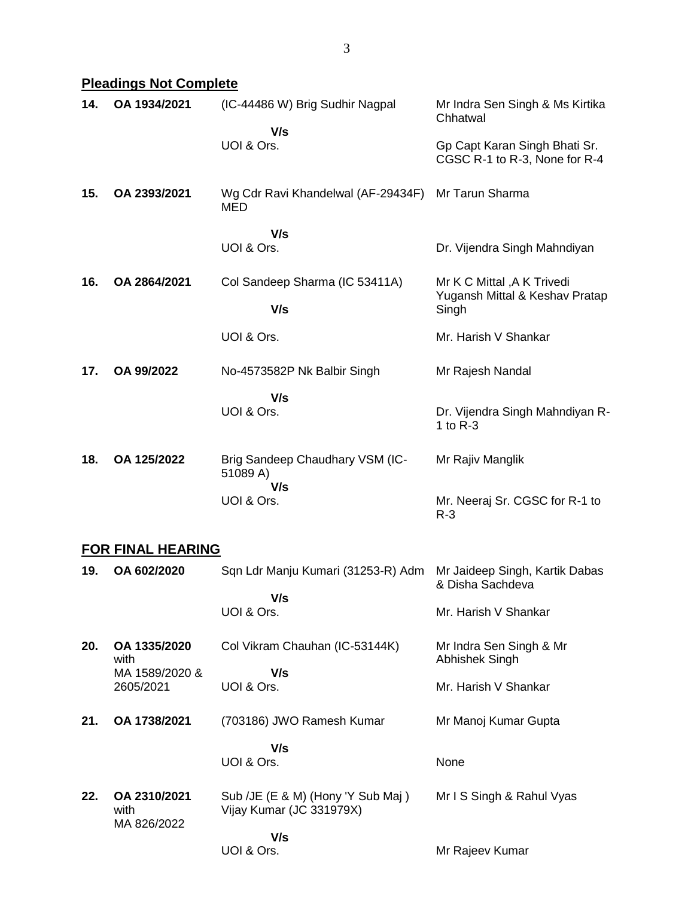## **Pleadings Not Complete**

| 14. | OA 1934/2021                | (IC-44486 W) Brig Sudhir Nagpal             | Mr Indra Sen Singh & Ms Kirtika<br>Chhatwal                            |
|-----|-----------------------------|---------------------------------------------|------------------------------------------------------------------------|
|     |                             | V/s<br>UOI & Ors.                           | Gp Capt Karan Singh Bhati Sr.<br>CGSC R-1 to R-3, None for R-4         |
| 15. | OA 2393/2021                | Wg Cdr Ravi Khandelwal (AF-29434F)<br>MED   | Mr Tarun Sharma                                                        |
|     |                             | V/s<br>UOI & Ors.                           | Dr. Vijendra Singh Mahndiyan                                           |
| 16. | OA 2864/2021                | Col Sandeep Sharma (IC 53411A)<br>V/s       | Mr K C Mittal , A K Trivedi<br>Yugansh Mittal & Keshav Pratap<br>Singh |
|     |                             | UOI & Ors.                                  | Mr. Harish V Shankar                                                   |
| 17. | OA 99/2022                  | No-4573582P Nk Balbir Singh                 | Mr Rajesh Nandal                                                       |
|     |                             | V/s<br>UOI & Ors.                           | Dr. Vijendra Singh Mahndiyan R-<br>1 to R-3                            |
| 18. | OA 125/2022                 | Brig Sandeep Chaudhary VSM (IC-<br>51089 A) | Mr Rajiv Manglik                                                       |
|     |                             | V/s<br>UOI & Ors.                           | Mr. Neeraj Sr. CGSC for R-1 to<br>$R-3$                                |
|     | <b>FOR FINAL HEARING</b>    |                                             |                                                                        |
| 19. | OA 602/2020                 | Sqn Ldr Manju Kumari (31253-R) Adm          | Mr Jaideep Singh, Kartik Dabas<br>& Disha Sachdeva                     |
|     |                             | V/s<br>UOI & Ors.                           | Mr. Harish V Shankar                                                   |
| 20. | OA 1335/2020<br>with        | Col Vikram Chauhan (IC-53144K)              | Mr Indra Sen Singh & Mr<br>Abhishek Singh                              |
|     | MA 1589/2020 &<br>2605/2021 | V/s<br>UOI & Ors.                           | Mr. Harish V Shankar                                                   |
| 21. | OA 1738/2021                | (703186) JWO Ramesh Kumar                   | Mr Manoj Kumar Gupta                                                   |

 **V/s** UOI & Ors.

**22. OA 2310/2021** with MA 826/2022 Sub /JE (E & M) (Hony 'Y Sub Maj ) Vijay Kumar (JC 331979X) Mr I S Singh & Rahul Vyas

Mr Rajeev Kumar

None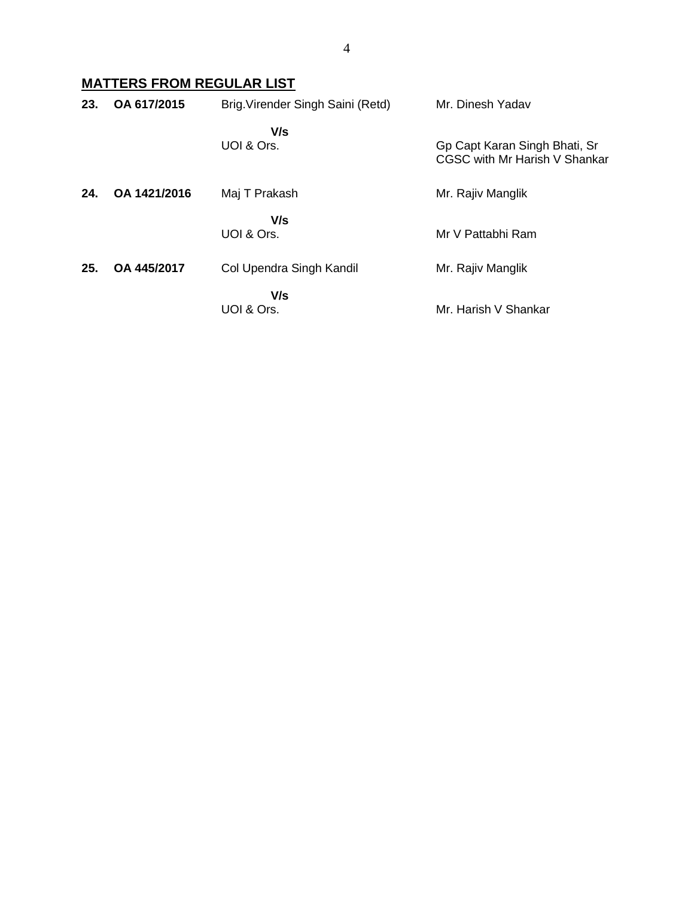## **MATTERS FROM REGULAR LIST**

| 23. | OA 617/2015  | Brig. Virender Singh Saini (Retd) | Mr. Dinesh Yadav                                               |
|-----|--------------|-----------------------------------|----------------------------------------------------------------|
|     |              | V/s<br>UOI & Ors.                 | Gp Capt Karan Singh Bhati, Sr<br>CGSC with Mr Harish V Shankar |
| 24. | OA 1421/2016 | Maj T Prakash                     | Mr. Rajiv Manglik                                              |
|     |              | V/s<br>UOI & Ors.                 | Mr V Pattabhi Ram                                              |
| 25. | OA 445/2017  | Col Upendra Singh Kandil          | Mr. Rajiv Manglik                                              |
|     |              | V/s<br>UOI & Ors.                 | Mr. Harish V Shankar                                           |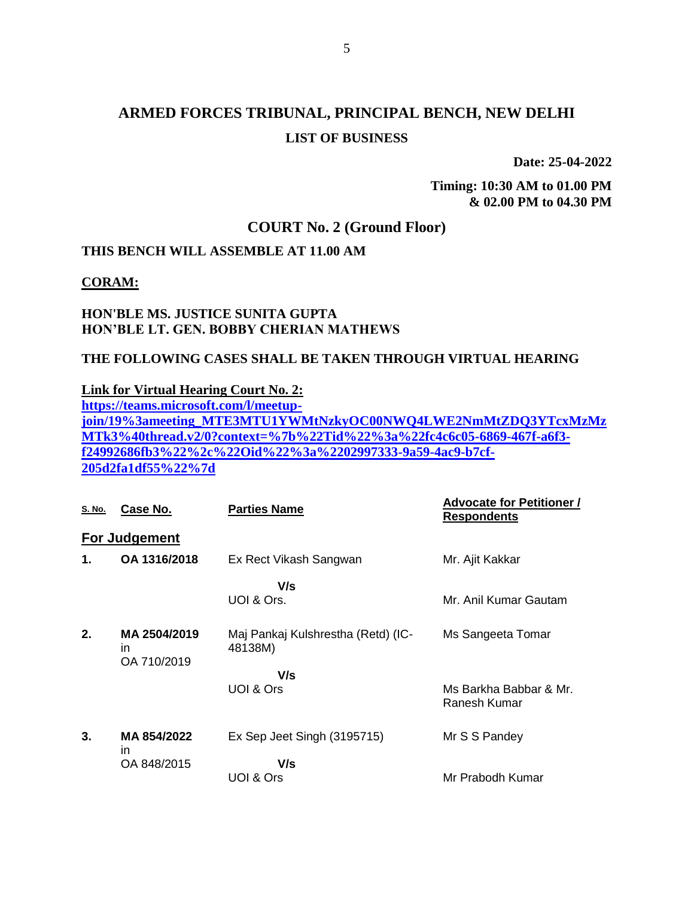## **ARMED FORCES TRIBUNAL, PRINCIPAL BENCH, NEW DELHI LIST OF BUSINESS**

**Date: 25-04-2022**

**Timing: 10:30 AM to 01.00 PM & 02.00 PM to 04.30 PM**

## **COURT No. 2 (Ground Floor)**

## **THIS BENCH WILL ASSEMBLE AT 11.00 AM**

**CORAM:**

#### **HON'BLE MS. JUSTICE SUNITA GUPTA HON'BLE LT. GEN. BOBBY CHERIAN MATHEWS**

#### **THE FOLLOWING CASES SHALL BE TAKEN THROUGH VIRTUAL HEARING**

**Link for Virtual Hearing Court No. 2:**

**[https://teams.microsoft.com/l/meetup](https://teams.microsoft.com/l/meetup-join/19%3ameeting_MTE3MTU1YWMtNzkyOC00NWQ4LWE2NmMtZDQ3YTcxMzMzMTk3%40thread.v2/0?context=%7b%22Tid%22%3a%22fc4c6c05-6869-467f-a6f3-f24992686fb3%22%2c%22Oid%22%3a%2202997333-9a59-4ac9-b7cf-205d2fa1df55%22%7d)[join/19%3ameeting\\_MTE3MTU1YWMtNzkyOC00NWQ4LWE2NmMtZDQ3YTcxMzMz](https://teams.microsoft.com/l/meetup-join/19%3ameeting_MTE3MTU1YWMtNzkyOC00NWQ4LWE2NmMtZDQ3YTcxMzMzMTk3%40thread.v2/0?context=%7b%22Tid%22%3a%22fc4c6c05-6869-467f-a6f3-f24992686fb3%22%2c%22Oid%22%3a%2202997333-9a59-4ac9-b7cf-205d2fa1df55%22%7d) [MTk3%40thread.v2/0?context=%7b%22Tid%22%3a%22fc4c6c05-6869-467f-a6f3](https://teams.microsoft.com/l/meetup-join/19%3ameeting_MTE3MTU1YWMtNzkyOC00NWQ4LWE2NmMtZDQ3YTcxMzMzMTk3%40thread.v2/0?context=%7b%22Tid%22%3a%22fc4c6c05-6869-467f-a6f3-f24992686fb3%22%2c%22Oid%22%3a%2202997333-9a59-4ac9-b7cf-205d2fa1df55%22%7d) [f24992686fb3%22%2c%22Oid%22%3a%2202997333-9a59-4ac9-b7cf-](https://teams.microsoft.com/l/meetup-join/19%3ameeting_MTE3MTU1YWMtNzkyOC00NWQ4LWE2NmMtZDQ3YTcxMzMzMTk3%40thread.v2/0?context=%7b%22Tid%22%3a%22fc4c6c05-6869-467f-a6f3-f24992686fb3%22%2c%22Oid%22%3a%2202997333-9a59-4ac9-b7cf-205d2fa1df55%22%7d)[205d2fa1df55%22%7d](https://teams.microsoft.com/l/meetup-join/19%3ameeting_MTE3MTU1YWMtNzkyOC00NWQ4LWE2NmMtZDQ3YTcxMzMzMTk3%40thread.v2/0?context=%7b%22Tid%22%3a%22fc4c6c05-6869-467f-a6f3-f24992686fb3%22%2c%22Oid%22%3a%2202997333-9a59-4ac9-b7cf-205d2fa1df55%22%7d)**

| <u>S. No.</u> | Case No.                          | <b>Parties Name</b>                           | <b>Advocate for Petitioner /</b><br><b>Respondents</b> |
|---------------|-----------------------------------|-----------------------------------------------|--------------------------------------------------------|
|               | For Judgement                     |                                               |                                                        |
| 1.            | OA 1316/2018                      | Ex Rect Vikash Sangwan                        | Mr. Ajit Kakkar                                        |
|               |                                   | V/s<br>UOI & Ors.                             | Mr. Anil Kumar Gautam                                  |
| 2.            | MA 2504/2019<br>in<br>OA 710/2019 | Maj Pankaj Kulshrestha (Retd) (IC-<br>48138M) | Ms Sangeeta Tomar                                      |
|               |                                   | V/s<br>UOI & Ors                              | Ms Barkha Babbar & Mr.<br>Ranesh Kumar                 |
| 3.            | MA 854/2022<br>in                 | Ex Sep Jeet Singh (3195715)                   | Mr S S Pandey                                          |
|               | OA 848/2015                       | V/s<br>UOI & Ors                              | Mr Prabodh Kumar                                       |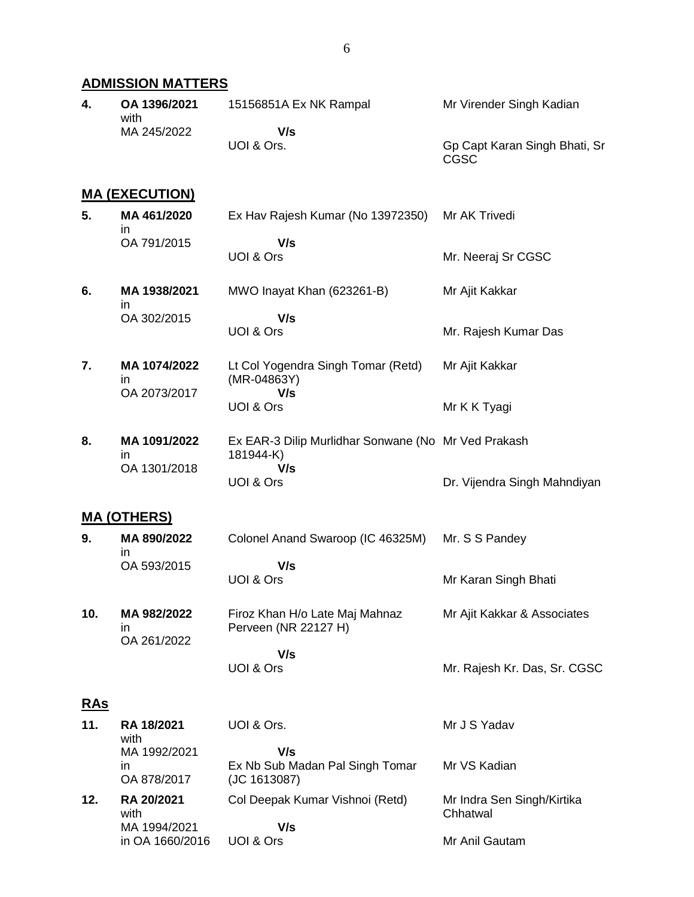## **ADMISSION MATTERS**

| 4. | OA 1396/2021<br>with | 15156851A Ex NK Rampal | Mr Virender Singh Kadian              |
|----|----------------------|------------------------|---------------------------------------|
|    | MA 245/2022          | V/s                    |                                       |
|    |                      | UOI & Ors.             | Gp Capt Karan Singh Bhati, Sr<br>CGSC |

## **MA (EXECUTION)**

| 5.         | MA 461/2020<br>ın                  | Ex Hav Rajesh Kumar (No 13972350)                                | Mr AK Trivedi                |
|------------|------------------------------------|------------------------------------------------------------------|------------------------------|
|            | OA 791/2015                        | V/s<br>UOI & Ors                                                 | Mr. Neeraj Sr CGSC           |
| 6.         | MA 1938/2021<br>in                 | MWO Inayat Khan (623261-B)                                       | Mr Ajit Kakkar               |
|            | OA 302/2015                        | V/s<br>UOI & Ors                                                 | Mr. Rajesh Kumar Das         |
| 7.         | MA 1074/2022<br>in<br>OA 2073/2017 | Lt Col Yogendra Singh Tomar (Retd)<br>(MR-04863Y)<br>V/s         | Mr Ajit Kakkar               |
|            |                                    | UOI & Ors                                                        | Mr K K Tyagi                 |
| 8.         | MA 1091/2022<br>in                 | Ex EAR-3 Dilip Murlidhar Sonwane (No Mr Ved Prakash<br>181944-K) |                              |
|            | OA 1301/2018                       | V/s<br>UOI & Ors                                                 | Dr. Vijendra Singh Mahndiyan |
|            | <u>MA (OTHERS)</u>                 |                                                                  |                              |
| 9.         | MA 890/2022<br>in                  | Colonel Anand Swaroop (IC 46325M)                                | Mr. S S Pandey               |
|            | OA 593/2015                        | V/s<br>UOI & Ors                                                 | Mr Karan Singh Bhati         |
| 10.        | MA 982/2022<br>in<br>OA 261/2022   | Firoz Khan H/o Late Maj Mahnaz<br>Perveen (NR 22127 H)           | Mr Ajit Kakkar & Associates  |
|            |                                    | V/s<br>UOI & Ors                                                 | Mr. Rajesh Kr. Das, Sr. CGSC |
| <b>RAs</b> |                                    |                                                                  |                              |
| 11.        | RA 18/2021<br>with                 | UOI & Ors.                                                       | Mr J S Yadav                 |
|            | MA 1992/2021<br>in<br>OA 878/2017  | V/s<br>Ex Nb Sub Madan Pal Singh Tomar<br>(JC 1613087)           | Mr VS Kadian                 |

**12. RA 20/2021** with MA 1994/2021 in OA 1660/2016 Col Deepak Kumar Vishnoi (Retd)  **V/s** UOI & Ors Mr Indra Sen Singh/Kirtika Chhatwal Mr Anil Gautam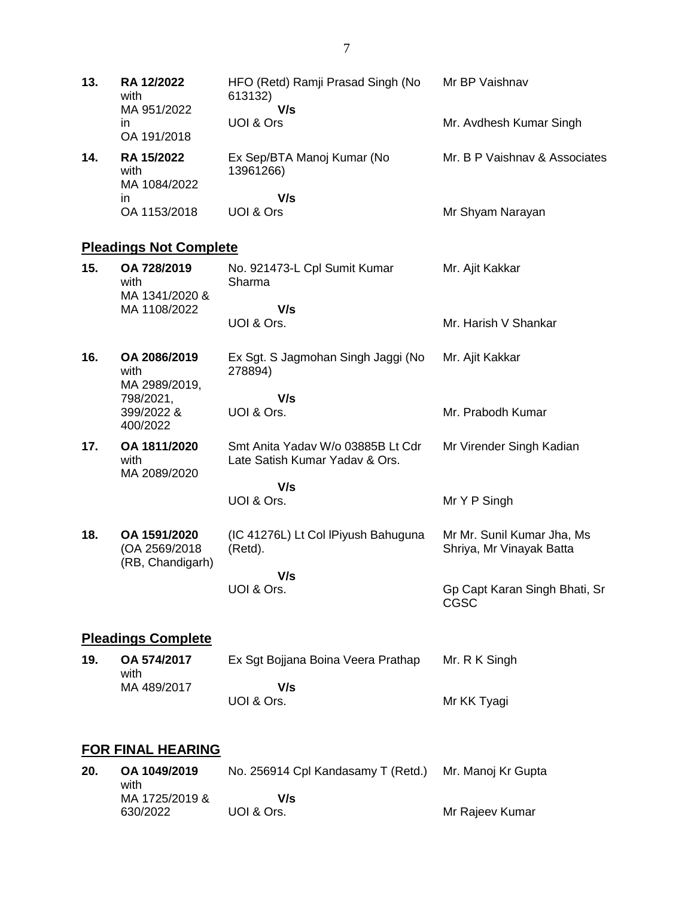| 13. | <b>RA 12/2022</b><br>with<br>MA 951/2022          | HFO (Retd) Ramji Prasad Singh (No<br>613132)<br>V/s                 | Mr BP Vaishnav                                         |
|-----|---------------------------------------------------|---------------------------------------------------------------------|--------------------------------------------------------|
|     | in.<br>OA 191/2018                                | UOI & Ors                                                           | Mr. Avdhesh Kumar Singh                                |
| 14. | RA 15/2022<br>with<br>MA 1084/2022                | Ex Sep/BTA Manoj Kumar (No<br>13961266)                             | Mr. B P Vaishnav & Associates                          |
|     | in<br>OA 1153/2018                                | V/s<br>UOI & Ors                                                    | Mr Shyam Narayan                                       |
|     | <b>Pleadings Not Complete</b>                     |                                                                     |                                                        |
| 15. | OA 728/2019<br>with<br>MA 1341/2020 &             | No. 921473-L Cpl Sumit Kumar<br>Sharma                              | Mr. Ajit Kakkar                                        |
|     | MA 1108/2022                                      | V/s                                                                 |                                                        |
|     |                                                   | UOI & Ors.                                                          | Mr. Harish V Shankar                                   |
| 16. | OA 2086/2019<br>with<br>MA 2989/2019,             | Ex Sgt. S Jagmohan Singh Jaggi (No<br>278894)                       | Mr. Ajit Kakkar                                        |
|     | 798/2021,<br>399/2022 &<br>400/2022               | V/s<br>UOI & Ors.                                                   | Mr. Prabodh Kumar                                      |
| 17. | OA 1811/2020<br>with<br>MA 2089/2020              | Smt Anita Yadav W/o 03885B Lt Cdr<br>Late Satish Kumar Yadav & Ors. | Mr Virender Singh Kadian                               |
|     |                                                   | V/s<br>UOI & Ors.                                                   | Mr Y P Singh                                           |
|     |                                                   |                                                                     |                                                        |
| 18. | OA 1591/2020<br>(OA 2569/2018<br>(RB, Chandigarh) | (IC 41276L) Lt Col IPiyush Bahuguna<br>(Retd).                      | Mr Mr. Sunil Kumar Jha, Ms<br>Shriya, Mr Vinayak Batta |
|     |                                                   | V/s                                                                 |                                                        |
|     |                                                   | UOI & Ors.                                                          | Gp Capt Karan Singh Bhati, Sr<br>CGSC                  |
|     | <b>Pleadings Complete</b>                         |                                                                     |                                                        |
| 19. | OA 574/2017<br>with                               | Ex Sgt Bojjana Boina Veera Prathap                                  | Mr. R K Singh                                          |
|     | MA 489/2017                                       | V/s<br>UOI & Ors.                                                   | Mr KK Tyagi                                            |
|     | <b>FOR FINAL HEARING</b>                          |                                                                     |                                                        |
|     |                                                   |                                                                     |                                                        |

**20. OA 1049/2019** with MA 1725/2019 & 630/2022 No. 256914 Cpl Kandasamy T (Retd.)  **V/s** UOI & Ors. Mr. Manoj Kr Gupta Mr Rajeev Kumar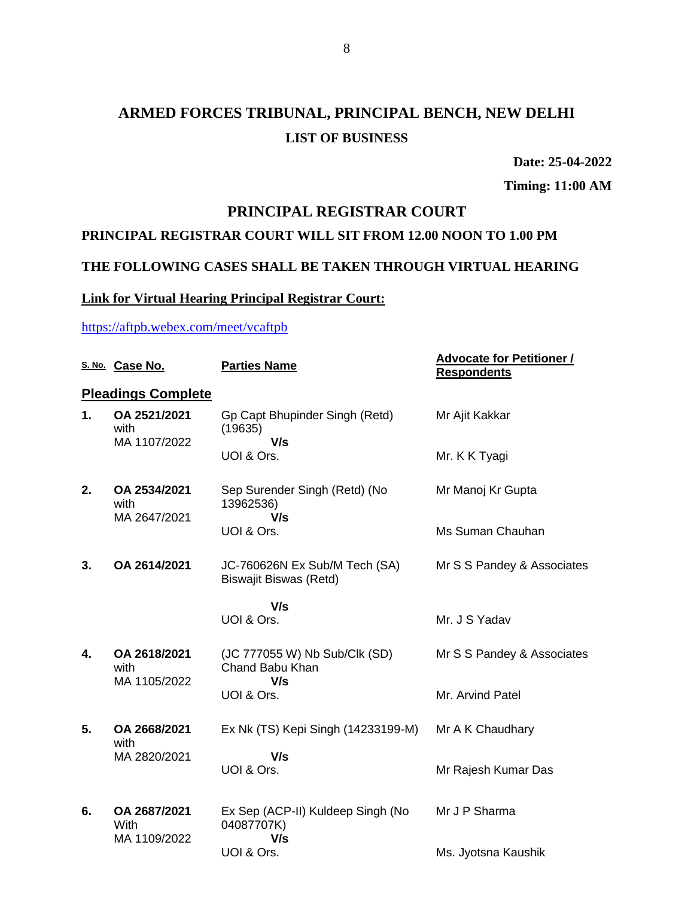# **ARMED FORCES TRIBUNAL, PRINCIPAL BENCH, NEW DELHI LIST OF BUSINESS**

**Date: 25-04-2022**

**Timing: 11:00 AM**

#### **PRINCIPAL REGISTRAR COURT**

#### **PRINCIPAL REGISTRAR COURT WILL SIT FROM 12.00 NOON TO 1.00 PM**

### **THE FOLLOWING CASES SHALL BE TAKEN THROUGH VIRTUAL HEARING**

#### **Link for Virtual Hearing Principal Registrar Court:**

#### <https://aftpb.webex.com/meet/vcaftpb>

|    | S. No. Case No.                      | <b>Parties Name</b>                                            | <b>Advocate for Petitioner /</b><br><b>Respondents</b> |
|----|--------------------------------------|----------------------------------------------------------------|--------------------------------------------------------|
|    | <b>Pleadings Complete</b>            |                                                                |                                                        |
| 1. | OA 2521/2021<br>with<br>MA 1107/2022 | Gp Capt Bhupinder Singh (Retd)<br>(19635)<br>V/s               | Mr Ajit Kakkar                                         |
|    |                                      | UOI & Ors.                                                     | Mr. K K Tyagi                                          |
| 2. | OA 2534/2021<br>with<br>MA 2647/2021 | Sep Surender Singh (Retd) (No<br>13962536)<br>V/s              | Mr Manoj Kr Gupta                                      |
|    |                                      | UOI & Ors.                                                     | Ms Suman Chauhan                                       |
| 3. | OA 2614/2021                         | JC-760626N Ex Sub/M Tech (SA)<br><b>Biswajit Biswas (Retd)</b> | Mr S S Pandey & Associates                             |
|    |                                      | V/s<br>UOI & Ors.                                              | Mr. J S Yadav                                          |
| 4. | OA 2618/2021<br>with<br>MA 1105/2022 | (JC 777055 W) Nb Sub/Clk (SD)<br>Chand Babu Khan<br>V/s        | Mr S S Pandey & Associates                             |
|    |                                      | UOI & Ors.                                                     | Mr. Arvind Patel                                       |
| 5. | OA 2668/2021<br>with                 | Ex Nk (TS) Kepi Singh (14233199-M)                             | Mr A K Chaudhary                                       |
|    | MA 2820/2021                         | V/s<br>UOI & Ors.                                              | Mr Rajesh Kumar Das                                    |
| 6. | OA 2687/2021<br>With<br>MA 1109/2022 | Ex Sep (ACP-II) Kuldeep Singh (No<br>04087707K)<br>V/s         | Mr J P Sharma                                          |
|    |                                      | UOI & Ors.                                                     | Ms. Jyotsna Kaushik                                    |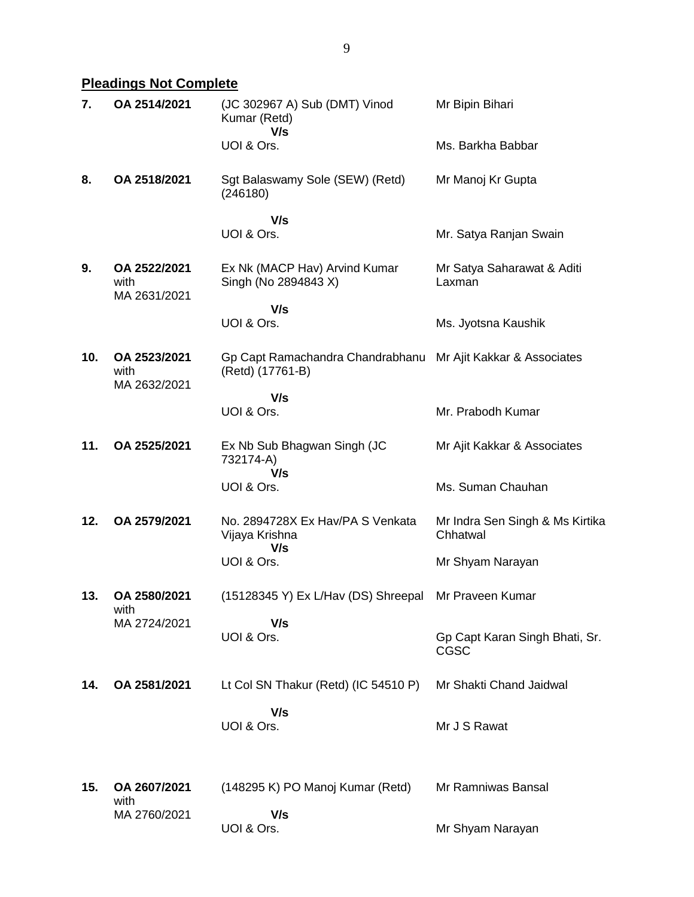# **Pleadings Not Complete**

| 7.  | OA 2514/2021                         | (JC 302967 A) Sub (DMT) Vinod<br>Kumar (Retd)<br>V/s                             | Mr Bipin Bihari                             |
|-----|--------------------------------------|----------------------------------------------------------------------------------|---------------------------------------------|
|     |                                      | UOI & Ors.                                                                       | Ms. Barkha Babbar                           |
| 8.  | OA 2518/2021                         | Sgt Balaswamy Sole (SEW) (Retd)<br>(246180)                                      | Mr Manoj Kr Gupta                           |
|     |                                      | V/s                                                                              |                                             |
|     |                                      | UOI & Ors.                                                                       | Mr. Satya Ranjan Swain                      |
| 9.  | OA 2522/2021<br>with<br>MA 2631/2021 | Ex Nk (MACP Hav) Arvind Kumar<br>Singh (No 2894843 X)                            | Mr Satya Saharawat & Aditi<br>Laxman        |
|     |                                      | V/s                                                                              |                                             |
|     |                                      | UOI & Ors.                                                                       | Ms. Jyotsna Kaushik                         |
| 10. | OA 2523/2021<br>with<br>MA 2632/2021 | Gp Capt Ramachandra Chandrabhanu Mr Ajit Kakkar & Associates<br>(Retd) (17761-B) |                                             |
|     |                                      | V/s                                                                              |                                             |
|     |                                      | UOI & Ors.                                                                       | Mr. Prabodh Kumar                           |
| 11. | OA 2525/2021                         | Ex Nb Sub Bhagwan Singh (JC<br>732174-A)<br>V/s                                  | Mr Ajit Kakkar & Associates                 |
|     |                                      | UOI & Ors.                                                                       | Ms. Suman Chauhan                           |
| 12. | OA 2579/2021                         | No. 2894728X Ex Hav/PA S Venkata<br>Vijaya Krishna<br>V/s                        | Mr Indra Sen Singh & Ms Kirtika<br>Chhatwal |
|     |                                      | UOI & Ors.                                                                       | Mr Shyam Narayan                            |
| 13. | OA 2580/2021<br>with                 | (15128345 Y) Ex L/Hav (DS) Shreepal                                              | Mr Praveen Kumar                            |
|     | MA 2724/2021                         | V/s<br>UOI & Ors.                                                                | Gp Capt Karan Singh Bhati, Sr.<br>CGSC      |
| 14. | OA 2581/2021                         | Lt Col SN Thakur (Retd) (IC 54510 P)                                             | Mr Shakti Chand Jaidwal                     |
|     |                                      | V/s<br>UOI & Ors.                                                                | Mr J S Rawat                                |
| 15. | OA 2607/2021                         | (148295 K) PO Manoj Kumar (Retd)                                                 | Mr Ramniwas Bansal                          |
|     | with<br>MA 2760/2021                 | V/s<br>UOI & Ors.                                                                | Mr Shyam Narayan                            |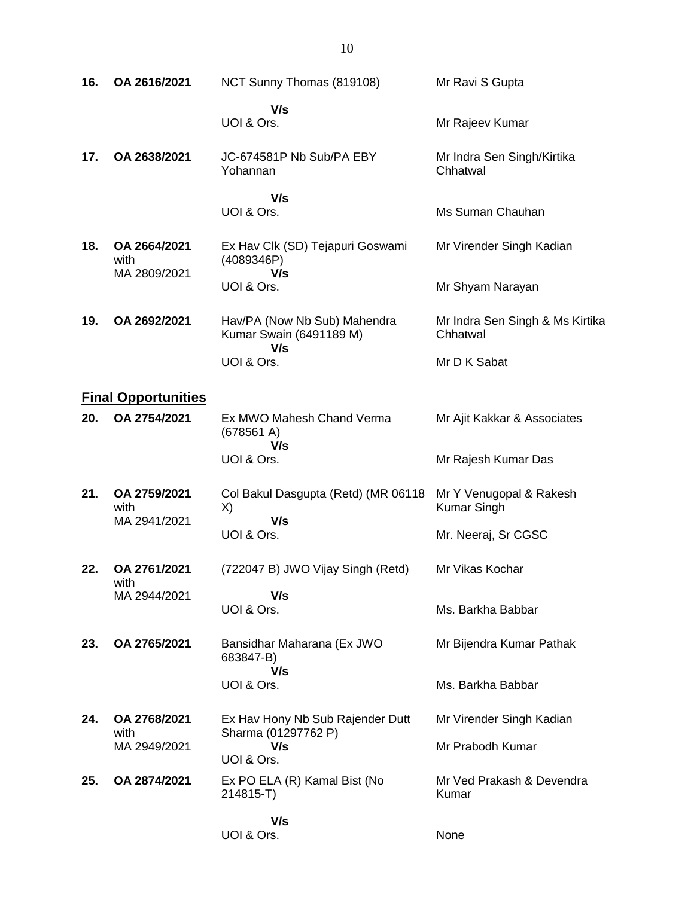| 16. | OA 2616/2021                         | NCT Sunny Thomas (819108)                                      | Mr Ravi S Gupta                             |
|-----|--------------------------------------|----------------------------------------------------------------|---------------------------------------------|
|     |                                      | V/s<br>UOI & Ors.                                              | Mr Rajeev Kumar                             |
| 17. | OA 2638/2021                         | JC-674581P Nb Sub/PA EBY<br>Yohannan                           | Mr Indra Sen Singh/Kirtika<br>Chhatwal      |
|     |                                      | V/s<br>UOI & Ors.                                              | Ms Suman Chauhan                            |
| 18. | OA 2664/2021<br>with<br>MA 2809/2021 | Ex Hav Clk (SD) Tejapuri Goswami<br>(4089346P)<br>V/s          | Mr Virender Singh Kadian                    |
|     |                                      | UOI & Ors.                                                     | Mr Shyam Narayan                            |
| 19. | OA 2692/2021                         | Hav/PA (Now Nb Sub) Mahendra<br>Kumar Swain (6491189 M)<br>V/s | Mr Indra Sen Singh & Ms Kirtika<br>Chhatwal |
|     |                                      | UOI & Ors.                                                     | Mr D K Sabat                                |

## **Final Opportunities**

| 20. | OA 2754/2021                         | Ex MWO Mahesh Chand Verma<br>(678561 A)<br>V/s<br>UOI & Ors.                 | Mr Ajit Kakkar & Associates<br>Mr Rajesh Kumar Das                   |
|-----|--------------------------------------|------------------------------------------------------------------------------|----------------------------------------------------------------------|
| 21. | OA 2759/2021<br>with<br>MA 2941/2021 | Col Bakul Dasgupta (Retd) (MR 06118<br>X)<br>V/s<br>UOI & Ors.               | Mr Y Venugopal & Rakesh<br><b>Kumar Singh</b><br>Mr. Neeraj, Sr CGSC |
| 22. | OA 2761/2021<br>with<br>MA 2944/2021 | (722047 B) JWO Vijay Singh (Retd)<br>V/s<br>UOI & Ors.                       | Mr Vikas Kochar<br>Ms. Barkha Babbar                                 |
| 23. | OA 2765/2021                         | Bansidhar Maharana (Ex JWO<br>683847-B)<br>V/s<br>UOI & Ors.                 | Mr Bijendra Kumar Pathak<br>Ms. Barkha Babbar                        |
| 24. | OA 2768/2021<br>with<br>MA 2949/2021 | Ex Hav Hony Nb Sub Rajender Dutt<br>Sharma (01297762 P)<br>V/s<br>UOI & Ors. | Mr Virender Singh Kadian<br>Mr Prabodh Kumar                         |
| 25. | OA 2874/2021                         | Ex PO ELA (R) Kamal Bist (No<br>214815-T)<br>V/s                             | Mr Ved Prakash & Devendra<br>Kumar                                   |
|     |                                      | UOI & Ors.                                                                   | None                                                                 |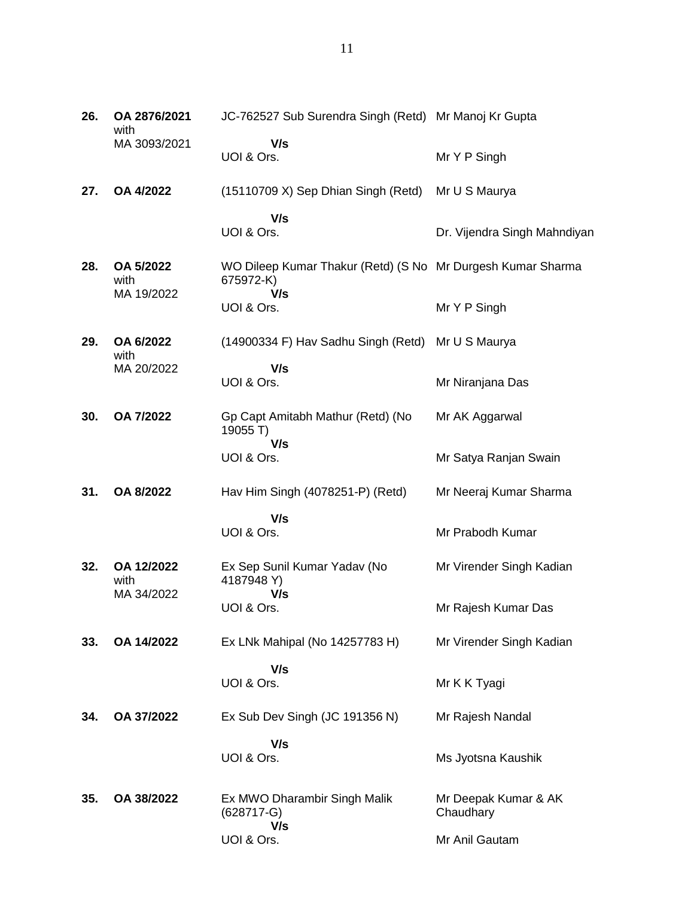| 26. | OA 2876/2021<br>with             | JC-762527 Sub Surendra Singh (Retd) Mr Manoj Kr Gupta                           |                                   |
|-----|----------------------------------|---------------------------------------------------------------------------------|-----------------------------------|
|     | MA 3093/2021                     | V/s<br>UOI & Ors.                                                               | Mr Y P Singh                      |
| 27. | OA 4/2022                        | (15110709 X) Sep Dhian Singh (Retd)                                             | Mr U S Maurya                     |
|     |                                  | V/s<br>UOI & Ors.                                                               | Dr. Vijendra Singh Mahndiyan      |
| 28. | OA 5/2022<br>with                | WO Dileep Kumar Thakur (Retd) (S No Mr Durgesh Kumar Sharma<br>675972-K)<br>V/s |                                   |
|     | MA 19/2022                       | UOI & Ors.                                                                      | Mr Y P Singh                      |
| 29. | OA 6/2022<br>with                | (14900334 F) Hav Sadhu Singh (Retd) Mr U S Maurya                               |                                   |
|     | MA 20/2022                       | V/s                                                                             |                                   |
|     |                                  | UOI & Ors.                                                                      | Mr Niranjana Das                  |
| 30. | OA 7/2022                        | Gp Capt Amitabh Mathur (Retd) (No<br>19055 T)                                   | Mr AK Aggarwal                    |
|     |                                  | V/s<br>UOI & Ors.                                                               | Mr Satya Ranjan Swain             |
| 31. | OA 8/2022                        | Hav Him Singh (4078251-P) (Retd)                                                | Mr Neeraj Kumar Sharma            |
|     |                                  | V/s<br>UOI & Ors.                                                               | Mr Prabodh Kumar                  |
| 32. | OA 12/2022<br>with<br>MA 34/2022 | Ex Sep Sunil Kumar Yadav (No<br>4187948 Y)                                      | Mr Virender Singh Kadian          |
|     |                                  | V/s<br>UOI & Ors.                                                               | Mr Rajesh Kumar Das               |
| 33. | OA 14/2022                       | Ex LNk Mahipal (No 14257783 H)                                                  | Mr Virender Singh Kadian          |
|     |                                  | V/s<br>UOI & Ors.                                                               | Mr K K Tyagi                      |
| 34. | OA 37/2022                       | Ex Sub Dev Singh (JC 191356 N)                                                  | Mr Rajesh Nandal                  |
|     |                                  | V/s<br>UOI & Ors.                                                               | Ms Jyotsna Kaushik                |
| 35. | OA 38/2022                       | Ex MWO Dharambir Singh Malik<br>$(628717 - G)$<br>V/s                           | Mr Deepak Kumar & AK<br>Chaudhary |
|     |                                  | UOI & Ors.                                                                      | Mr Anil Gautam                    |